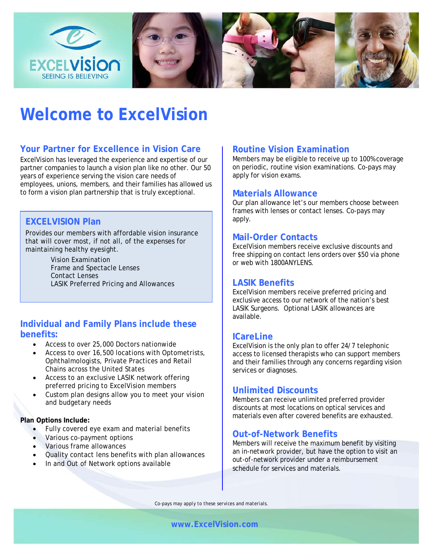

# **Welcome to ExcelVision**

# **Your Partner for Excellence in Vision Care**

ExcelVision has leveraged the experience and expertise of our partner companies to launch a vision plan like no other. Our 50 years of experience serving the vision care needs of employees, unions, members, and their families has allowed us to form a vision plan partnership that is truly exceptional.

## **EXCELVISION Plan**

Provides our members with affordable vision insurance that will cover most, if not all, of the expenses for maintaining healthy eyesight.

> Vision Examination Frame and Spectacle Lenses Contact Lenses LASIK Preferred Pricing and Allowances

## **Individual and Family Plans include these benefits:**

- Access to over 25,000 Doctors nationwide
- Access to over 16,500 locations with Optometrists, Ophthalmologists, Private Practices and Retail Chains across the United States
- Access to an exclusive LASIK network offering preferred pricing to ExcelVision members
- Custom plan designs allow you to meet your vision and budgetary needs

#### **Plan Options Include:**

- Fully covered eye exam and material benefits
- Various co-payment options
- Various frame allowances
- Quality contact lens benefits with plan allowances
- In and Out of Network options available

## **Routine Vision Examination**

Members may be eligible to receive up to 100% coverage on periodic, routine vision examinations. Co-pays may apply for vision exams.

#### **Materials Allowance**

Our plan allowance let's our members choose between frames with lenses or contact lenses. Co-pays may apply.

## **Mail-Order Contacts**

ExcelVision members receive exclusive discounts and free shipping on contact lens orders over \$50 via phone or web with 1800ANYLENS.

## **LASIK Benefits**

ExcelVision members receive preferred pricing and exclusive access to our network of the nation's best LASIK Surgeons. Optional LASIK allowances are available.

#### **ICareLine**

ExcelVision is the only plan to offer 24/7 telephonic access to licensed therapists who can support members and their families through any concerns regarding vision services or diagnoses.

## **Unlimited Discounts**

Members can receive unlimited preferred provider discounts at most locations on optical services and materials even after covered benefits are exhausted.

# **Out-of-Network Benefits**

Members will receive the maximum benefit by visiting an in-network provider, but have the option to visit an out-of-network provider under a reimbursement schedule for services and materials.

*Co-pays may apply to these services and materials.*